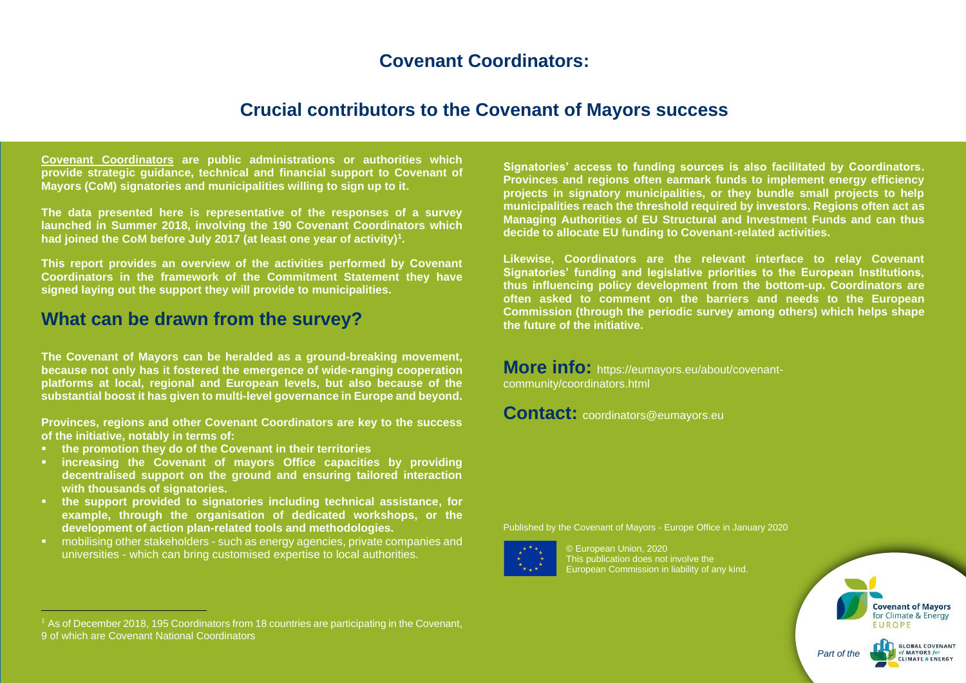# **Covenant Coordinators:**

## **Crucial contributors to the Covenant of Mayors success**

**[Covenant Coordinators](http://www.eumayors.eu/about/covenant-coordinators_en.html) are public administrations or authorities which provide strategic guidance, technical and financial support to Covenant of Mayors (CoM) signatories and municipalities willing to sign up to it.**

**The data presented here is representative of the responses of a survey launched in Summer 2018, involving the 190 Covenant Coordinators which had joined the CoM before July 2017 (at least one year of activity)<sup>1</sup> .**

**This report provides an overview of the activities performed by Covenant Coordinators in the framework of the Commitment Statement they have signed laying out the support they will provide to municipalities.**

## **What can be drawn from the survey?**

**The Covenant of Mayors can be heralded as a ground-breaking movement, because not only has it fostered the emergence of wide-ranging cooperation platforms at local, regional and European levels, but also because of the substantial boost it has given to multi-level governance in Europe and beyond.**

**Provinces, regions and other Covenant Coordinators are key to the success of the initiative, notably in terms of:**

- **the promotion they do of the Covenant in their territories**
- **increasing the Covenant of mayors Office capacities by providing decentralised support on the ground and ensuring tailored interaction with thousands of signatories.**
- **the support provided to signatories including technical assistance, for example, through the organisation of dedicated workshops, or the development of action plan-related tools and methodologies.**
- mobilising other stakeholders such as energy agencies, private companies and universities - which can bring customised expertise to local authorities.

**Signatories' access to funding sources is also facilitated by Coordinators. Provinces and regions often earmark funds to implement energy efficiency projects in signatory municipalities, or they bundle small projects to help municipalities reach the threshold required by investors. Regions often act as Managing Authorities of EU Structural and Investment Funds and can thus decide to allocate EU funding to Covenant-related activities.**

**Likewise, Coordinators are the relevant interface to relay Covenant Signatories' funding and legislative priorities to the European Institutions, thus influencing policy development from the bottom-up. Coordinators are often asked to comment on the barriers and needs to the European Commission (through the periodic survey among others) which helps shape the future of the initiative.**

**More info:** [https://eumayors.eu/about/covenant](https://eumayors.eu/about/covenant-community/coordinators.html)[community/coordinators.html](https://eumayors.eu/about/covenant-community/coordinators.html)

**Contact:** coordinators@eumayors.eu

Published by the Covenant of Mayors - Europe Office in January 2020



© European Union, 2020 This publication does not involve the European Commission in liability of any kind.



 $<sup>1</sup>$  As of December 2018, 195 Coordinators from 18 countries are participating in the Covenant,</sup> 9 of which are Covenant National Coordinators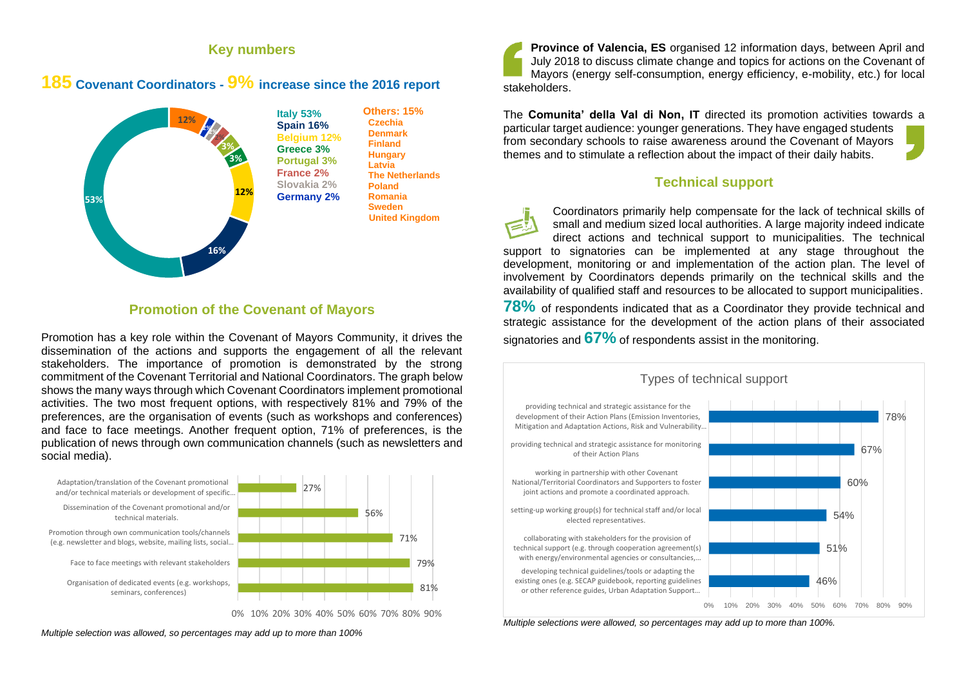### **Key numbers**

### **185 Covenant Coordinators - 9% increase since the <sup>2016</sup> report**



#### **Promotion of the Covenant of Mayors**

Promotion has a key role within the Covenant of Mayors Community, it drives the dissemination of the actions and supports the engagement of all the relevant stakeholders. The importance of promotion is demonstrated by the strong commitment of the Covenant Territorial and National Coordinators. The graph below shows the many ways through which Covenant Coordinators implement promotional activities. The two most frequent options, with respectively 81% and 79% of the preferences, are the organisation of events (such as workshops and conferences) and face to face meetings. Another frequent option, 71% of preferences, is the publication of news through own communication channels (such as newsletters and social media).



**Province of Valencia, ES** organised 12 information days, between April and July 2018 to discuss climate change and topics for actions on the Covenant of Mayors (energy self-consumption, energy efficiency, e-mobility, etc.) for local stakeholders.

The **Comunita' della Val di Non, IT** directed its promotion activities towards a particular target audience: younger generations. They have engaged students from secondary schools to raise awareness around the Covenant of Mayors themes and to stimulate a reflection about the impact of their daily habits.

#### **Technical support**

Coordinators primarily help compensate for the lack of technical skills of small and medium sized local authorities. A large majority indeed indicate direct actions and technical support to municipalities. The technical support to signatories can be implemented at any stage throughout the development, monitoring or and implementation of the action plan. The level of involvement by Coordinators depends primarily on the technical skills and the availability of qualified staff and resources to be allocated to support municipalities.

**78%** of respondents indicated that as a Coordinator they provide technical and strategic assistance for the development of the action plans of their associated signatories and **67%** of respondents assist in the monitoring.



*Multiple selections were allowed, so percentages may add up to more than 100%.*

*Multiple selection was allowed, so percentages may add up to more than 100%*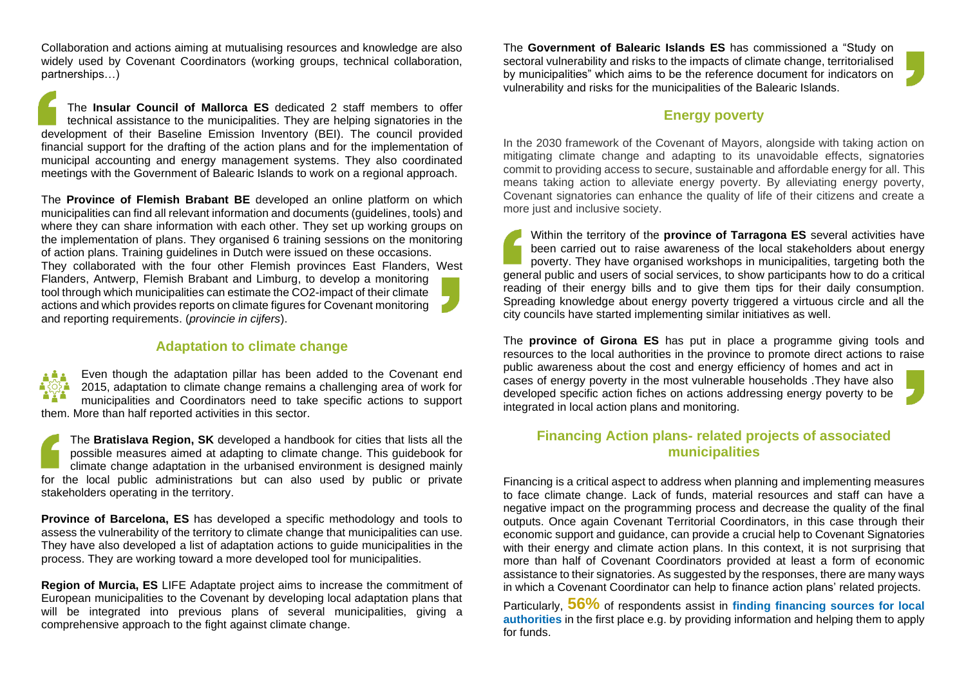Collaboration and actions aiming at mutualising resources and knowledge are also widely used by Covenant Coordinators (working groups, technical collaboration, partnerships…)

The **Insular Council of Mallorca ES** dedicated 2 staff members to offer technical assistance to the municipalities. They are helping signatories in the development of their Baseline Emission Inventory (BEI). The council provided financial support for the drafting of the action plans and for the implementation of municipal accounting and energy management systems. They also coordinated meetings with the Government of Balearic Islands to work on a regional approach.

The **Province of Flemish Brabant BE** developed an online platform on which municipalities can find all relevant information and documents (guidelines, tools) and where they can share information with each other. They set up working groups on the implementation of plans. They organised 6 training sessions on the monitoring of action plans. Training guidelines in Dutch were issued on these occasions. They collaborated with the four other Flemish provinces East Flanders, West Flanders, Antwerp, Flemish Brabant and Limburg, to develop a monitoring tool through which municipalities can estimate the CO2-impact of their climate actions and which provides reports on climate figures for Covenant monitoring and reporting requirements. (*provincie in cijfers*).

### **Adaptation to climate change**

Even though the adaptation pillar has been added to the Covenant end 2015, adaptation to climate change remains a challenging area of work for municipalities and Coordinators need to take specific actions to support them. More than half reported activities in this sector.

The **Bratislava Region, SK** developed a handbook for cities that lists all the possible measures aimed at adapting to climate change. This guidebook for climate change adaptation in the urbanised environment is designed mainly for the local public administrations but can also used by public or private stakeholders operating in the territory.

**Province of Barcelona, ES** has developed a specific methodology and tools to assess the vulnerability of the territory to climate change that municipalities can use. They have also developed a list of adaptation actions to guide municipalities in the process. They are working toward a more developed tool for municipalities.

**Region of Murcia, ES** LIFE Adaptate project aims to increase the commitment of European municipalities to the Covenant by developing local adaptation plans that will be integrated into previous plans of several municipalities, giving a comprehensive approach to the fight against climate change.

The **Government of Balearic Islands ES** has commissioned a "Study on sectoral vulnerability and risks to the impacts of climate change, territorialised by municipalities" which aims to be the reference document for indicators on vulnerability and risks for the municipalities of the Balearic Islands.

#### **Energy poverty**

In the 2030 framework of the Covenant of Mayors, alongside with taking action on mitigating climate change and adapting to its unavoidable effects, signatories commit to providing access to secure, sustainable and affordable energy for all. This means taking action to alleviate energy poverty. By alleviating energy poverty, Covenant signatories can enhance the quality of life of their citizens and create a more just and inclusive society.

Within the territory of the **province of Tarragona ES** several activities have been carried out to raise awareness of the local stakeholders about energy poverty. They have organised workshops in municipalities, targeting both the general public and users of social services, to show participants how to do a critical reading of their energy bills and to give them tips for their daily consumption. Spreading knowledge about energy poverty triggered a virtuous circle and all the city councils have started implementing similar initiatives as well.

The **province of Girona ES** has put in place a programme giving tools and resources to the local authorities in the province to promote direct actions to raise public awareness about the cost and energy efficiency of homes and act in cases of energy poverty in the most vulnerable households .They have also developed specific action fiches on actions addressing energy poverty to be integrated in local action plans and monitoring.

### **Financing Action plans- related projects of associated municipalities**

Financing is a critical aspect to address when planning and implementing measures to face climate change. Lack of funds, material resources and staff can have a negative impact on the programming process and decrease the quality of the final outputs. Once again Covenant Territorial Coordinators, in this case through their economic support and guidance, can provide a crucial help to Covenant Signatories with their energy and climate action plans. In this context, it is not surprising that more than half of Covenant Coordinators provided at least a form of economic assistance to their signatories. As suggested by the responses, there are many ways in which a Covenant Coordinator can help to finance action plans' related projects.

Particularly, **56%** of respondents assist in **finding financing sources for local authorities** in the first place e.g. by providing information and helping them to apply for funds.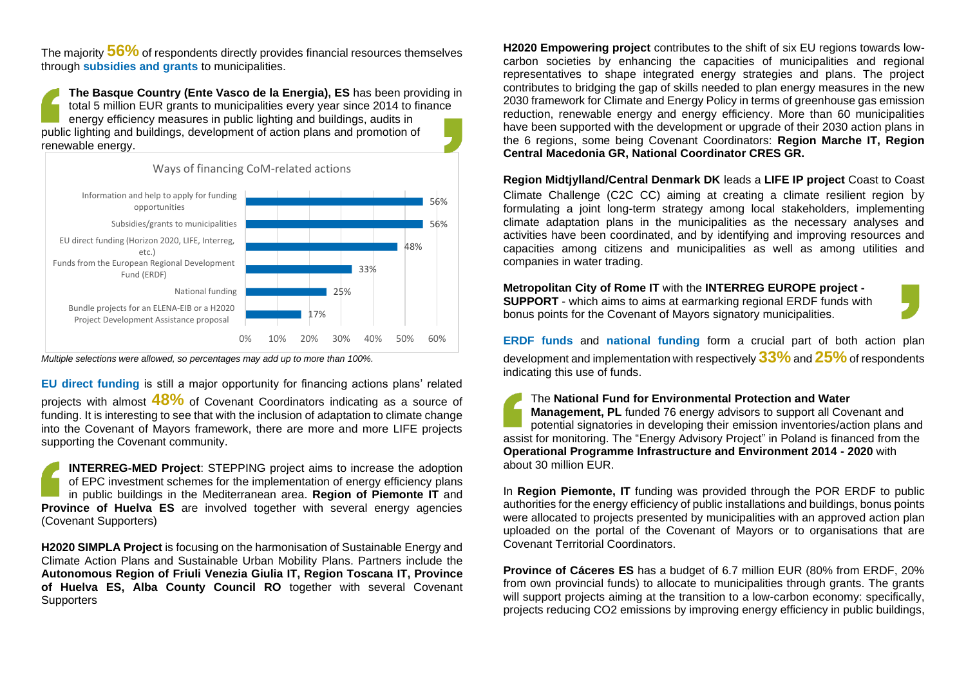The majority **56%** of respondents directly provides financial resources themselves through **subsidies and grants** to municipalities.

**The Basque Country (Ente Vasco de la Energia), ES** has been providing in total 5 million EUR grants to municipalities every year since 2014 to finance energy efficiency measures in public lighting and buildings, audits in public lighting and buildings, development of action plans and promotion of renewable energy.



*Multiple selections were allowed, so percentages may add up to more than 100%.*

**EU direct funding** is still a major opportunity for financing actions plans' related projects with almost **48%** of Covenant Coordinators indicating as a source of funding. It is interesting to see that with the inclusion of adaptation to climate change into the Covenant of Mayors framework, there are more and more LIFE projects supporting the Covenant community.

**INTERREG-MED Project**: STEPPING project aims to increase the adoption of EPC investment schemes for the implementation of energy efficiency plans in public buildings in the Mediterranean area. **Region of Piemonte IT** and **Province of Huelva ES** are involved together with several energy agencies (Covenant Supporters)

**H2020 SIMPLA Project** is focusing on the harmonisation of Sustainable Energy and Climate Action Plans and Sustainable Urban Mobility Plans. Partners include the **Autonomous Region of Friuli Venezia Giulia IT, Region Toscana IT, Province of Huelva ES, Alba County Council RO** together with several Covenant **Supporters** 

**H2020 Empowering project** contributes to the shift of six EU regions towards lowcarbon societies by enhancing the capacities of municipalities and regional representatives to shape integrated energy strategies and plans. The project contributes to bridging the gap of skills needed to plan energy measures in the new 2030 framework for Climate and Energy Policy in terms of greenhouse gas emission reduction, renewable energy and energy efficiency. More than 60 municipalities have been supported with the development or upgrade of their 2030 action plans in the 6 regions, some being Covenant Coordinators: **Region Marche IT, Region Central Macedonia GR, National Coordinator CRES GR.**

**Region Midtjylland/Central Denmark DK** leads a **LIFE IP project** Coast to Coast Climate Challenge (C2C CC) aiming at creating a climate resilient region by formulating a joint long-term strategy among local stakeholders, implementing climate adaptation plans in the municipalities as the necessary analyses and activities have been coordinated, and by identifying and improving resources and capacities among citizens and municipalities as well as among utilities and companies in water trading.

**Metropolitan City of Rome IT** with the **INTERREG EUROPE project -**

**SUPPORT** - which aims to aims at earmarking regional ERDF funds with bonus points for the Covenant of Mayors signatory municipalities.

**ERDF funds** and **national funding** form a crucial part of both action plan development and implementation with respectively **33%**and **25%**of respondents indicating this use of funds.

The **National Fund for Environmental Protection and Water Management, PL** funded 76 energy advisors to support all Covenant and potential signatories in developing their emission inventories/action plans and assist for monitoring. The "Energy Advisory Project" in Poland is financed from the **Operational Programme Infrastructure and Environment 2014 - 2020** with about 30 million EUR.

In **Region Piemonte, IT** funding was provided through the POR ERDF to public authorities for the energy efficiency of public installations and buildings, bonus points were allocated to projects presented by municipalities with an approved action plan uploaded on the portal of the Covenant of Mayors or to organisations that are Covenant Territorial Coordinators.

**Province of Cáceres ES** has a budget of 6.7 million EUR (80% from ERDF, 20% from own provincial funds) to allocate to municipalities through grants. The grants will support projects aiming at the transition to a low-carbon economy: specifically, projects reducing CO2 emissions by improving energy efficiency in public buildings,